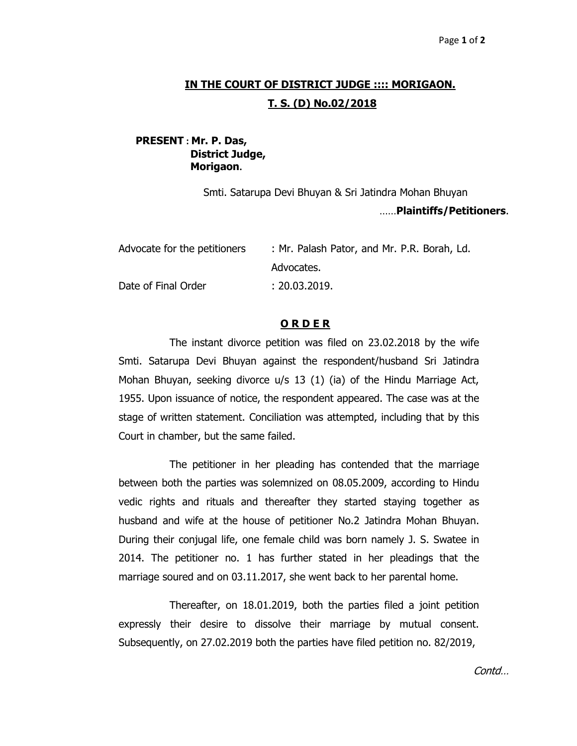## **IN THE COURT OF DISTRICT JUDGE :::: MORIGAON. T. S. (D) No.02/2018**

## **PRESENT : Mr. P. Das, District Judge, Morigaon.**

Smti. Satarupa Devi Bhuyan & Sri Jatindra Mohan Bhuyan ……**Plaintiffs/Petitioners**.

| Advocate for the petitioners | : Mr. Palash Pator, and Mr. P.R. Borah, Ld. |
|------------------------------|---------------------------------------------|
|                              | Advocates.                                  |
| Date of Final Order          | : 20.03.2019.                               |

## **O R D E R**

The instant divorce petition was filed on 23.02.2018 by the wife Smti. Satarupa Devi Bhuyan against the respondent/husband Sri Jatindra Mohan Bhuyan, seeking divorce u/s 13 (1) (ia) of the Hindu Marriage Act, 1955. Upon issuance of notice, the respondent appeared. The case was at the stage of written statement. Conciliation was attempted, including that by this Court in chamber, but the same failed.

The petitioner in her pleading has contended that the marriage between both the parties was solemnized on 08.05.2009, according to Hindu vedic rights and rituals and thereafter they started staying together as husband and wife at the house of petitioner No.2 Jatindra Mohan Bhuyan. During their conjugal life, one female child was born namely J. S. Swatee in 2014. The petitioner no. 1 has further stated in her pleadings that the marriage soured and on 03.11.2017, she went back to her parental home.

Thereafter, on 18.01.2019, both the parties filed a joint petition expressly their desire to dissolve their marriage by mutual consent. Subsequently, on 27.02.2019 both the parties have filed petition no. 82/2019,